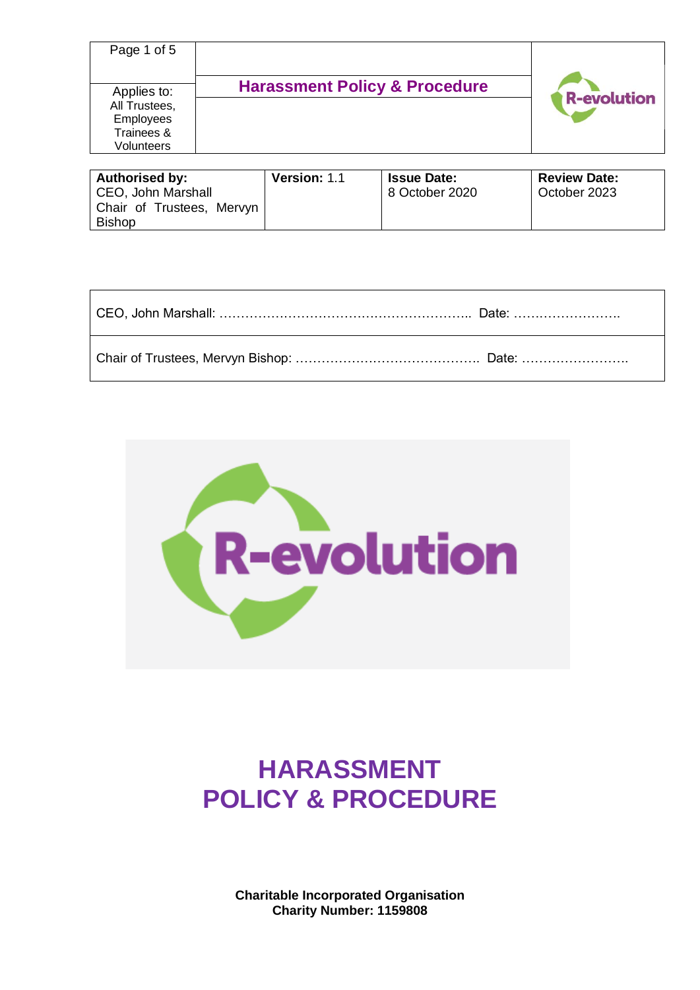| Page 1 of 5                                                                  |                                          |                    |
|------------------------------------------------------------------------------|------------------------------------------|--------------------|
| Applies to:<br>All Trustees,<br><b>Employees</b><br>Trainees &<br>Volunteers | <b>Harassment Policy &amp; Procedure</b> | <b>R-evolution</b> |

| Authorised by:            | <b>Version: 1.1</b> | <b>Issue Date:</b> | <b>Review Date:</b> |
|---------------------------|---------------------|--------------------|---------------------|
| CEO, John Marshall        |                     | 8 October 2020     | October 2023        |
| Chair of Trustees, Mervyn |                     |                    |                     |
| <b>Bishop</b>             |                     |                    |                     |

| CEO, John Marshall: ………………………………………………………… Date: …………………… |  |
|-----------------------------------------------------------|--|
|                                                           |  |



# **HARASSMENT POLICY & PROCEDURE**

**Charitable Incorporated Organisation Charity Number: 1159808**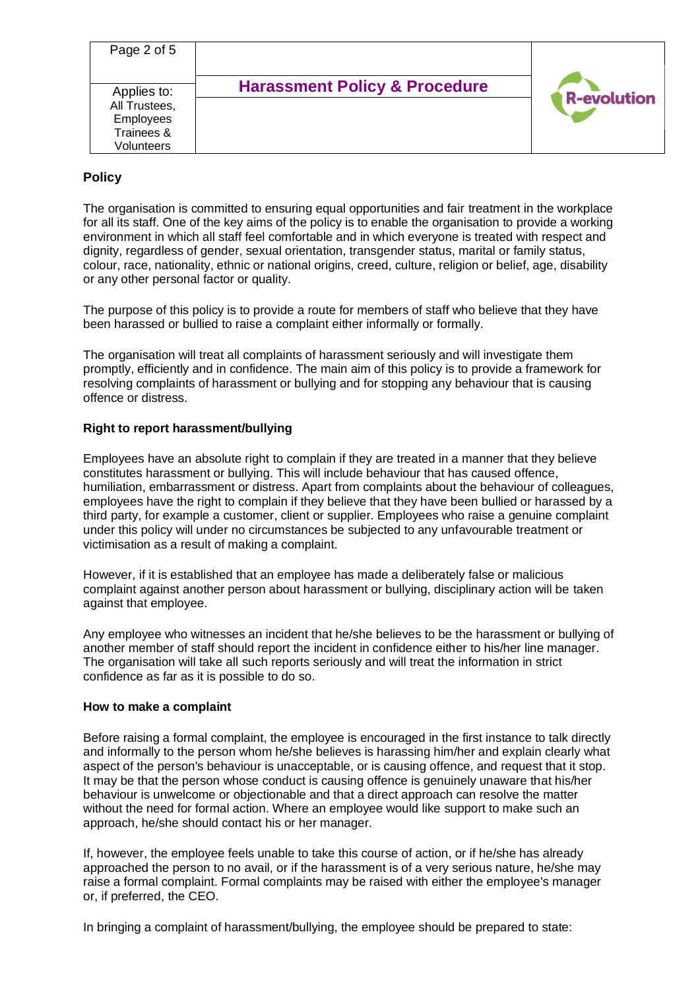| Page 2 of 5                                                           |                                          |                    |
|-----------------------------------------------------------------------|------------------------------------------|--------------------|
| Applies to:<br>All Trustees,<br>Employees<br>Trainees &<br>Volunteers | <b>Harassment Policy &amp; Procedure</b> | <b>R-evolution</b> |

# **Policy**

The organisation is committed to ensuring equal opportunities and fair treatment in the workplace for all its staff. One of the key aims of the policy is to enable the organisation to provide a working environment in which all staff feel comfortable and in which everyone is treated with respect and dignity, regardless of gender, sexual orientation, transgender status, marital or family status, colour, race, nationality, ethnic or national origins, creed, culture, religion or belief, age, disability or any other personal factor or quality.

The purpose of this policy is to provide a route for members of staff who believe that they have been harassed or bullied to raise a complaint either informally or formally.

The organisation will treat all complaints of harassment seriously and will investigate them promptly, efficiently and in confidence. The main aim of this policy is to provide a framework for resolving complaints of harassment or bullying and for stopping any behaviour that is causing offence or distress.

## **Right to report harassment/bullying**

Employees have an absolute right to complain if they are treated in a manner that they believe constitutes harassment or bullying. This will include behaviour that has caused offence, humiliation, embarrassment or distress. Apart from complaints about the behaviour of colleagues, employees have the right to complain if they believe that they have been bullied or harassed by a third party, for example a customer, client or supplier. Employees who raise a genuine complaint under this policy will under no circumstances be subjected to any unfavourable treatment or victimisation as a result of making a complaint.

However, if it is established that an employee has made a deliberately false or malicious complaint against another person about harassment or bullying, disciplinary action will be taken against that employee.

Any employee who witnesses an incident that he/she believes to be the harassment or bullying of another member of staff should report the incident in confidence either to his/her line manager. The organisation will take all such reports seriously and will treat the information in strict confidence as far as it is possible to do so.

#### **How to make a complaint**

Before raising a formal complaint, the employee is encouraged in the first instance to talk directly and informally to the person whom he/she believes is harassing him/her and explain clearly what aspect of the person's behaviour is unacceptable, or is causing offence, and request that it stop. It may be that the person whose conduct is causing offence is genuinely unaware that his/her behaviour is unwelcome or objectionable and that a direct approach can resolve the matter without the need for formal action. Where an employee would like support to make such an approach, he/she should contact his or her manager.

If, however, the employee feels unable to take this course of action, or if he/she has already approached the person to no avail, or if the harassment is of a very serious nature, he/she may raise a formal complaint. Formal complaints may be raised with either the employee's manager or, if preferred, the CEO.

In bringing a complaint of harassment/bullying, the employee should be prepared to state: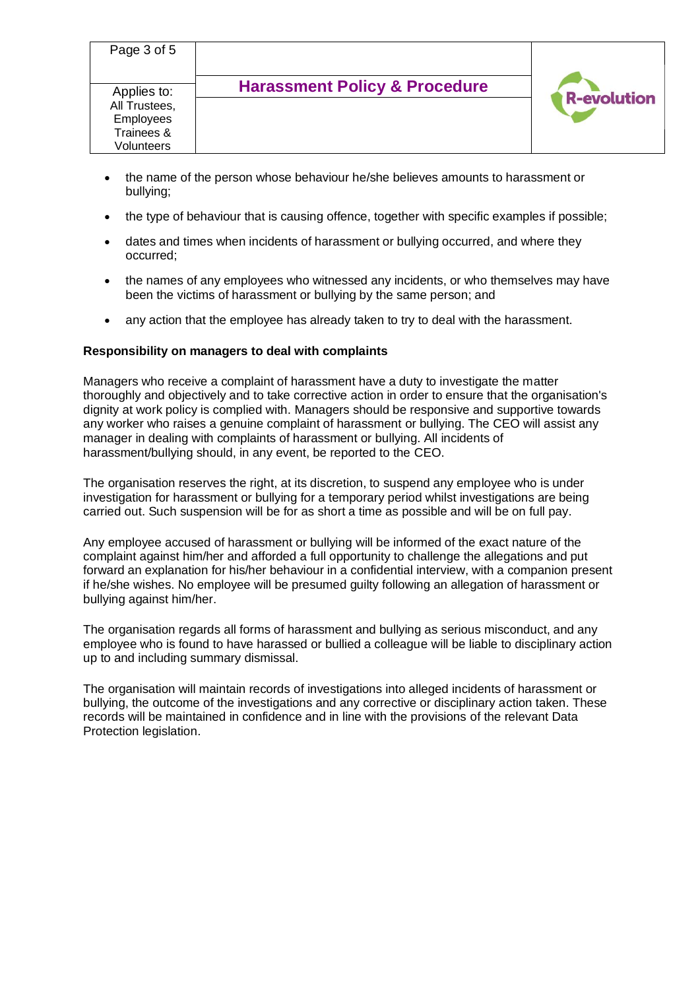| Page 3 of 5                                                           | <b>Harassment Policy &amp; Procedure</b> |                    |
|-----------------------------------------------------------------------|------------------------------------------|--------------------|
| Applies to:<br>All Trustees,<br>Employees<br>Trainees &<br>Volunteers |                                          | <b>R-evolution</b> |

- the name of the person whose behaviour he/she believes amounts to harassment or bullying;
- the type of behaviour that is causing offence, together with specific examples if possible;
- dates and times when incidents of harassment or bullying occurred, and where they occurred;
- the names of any employees who witnessed any incidents, or who themselves may have been the victims of harassment or bullying by the same person; and
- any action that the employee has already taken to try to deal with the harassment.

## **Responsibility on managers to deal with complaints**

Managers who receive a complaint of harassment have a duty to investigate the matter thoroughly and objectively and to take corrective action in order to ensure that the organisation's dignity at work policy is complied with. Managers should be responsive and supportive towards any worker who raises a genuine complaint of harassment or bullying. The CEO will assist any manager in dealing with complaints of harassment or bullying. All incidents of harassment/bullying should, in any event, be reported to the CEO.

The organisation reserves the right, at its discretion, to suspend any employee who is under investigation for harassment or bullying for a temporary period whilst investigations are being carried out. Such suspension will be for as short a time as possible and will be on full pay.

Any employee accused of harassment or bullying will be informed of the exact nature of the complaint against him/her and afforded a full opportunity to challenge the allegations and put forward an explanation for his/her behaviour in a confidential interview, with a companion present if he/she wishes. No employee will be presumed guilty following an allegation of harassment or bullying against him/her.

The organisation regards all forms of harassment and bullying as serious misconduct, and any employee who is found to have harassed or bullied a colleague will be liable to disciplinary action up to and including summary dismissal.

The organisation will maintain records of investigations into alleged incidents of harassment or bullying, the outcome of the investigations and any corrective or disciplinary action taken. These records will be maintained in confidence and in line with the provisions of the relevant Data Protection legislation.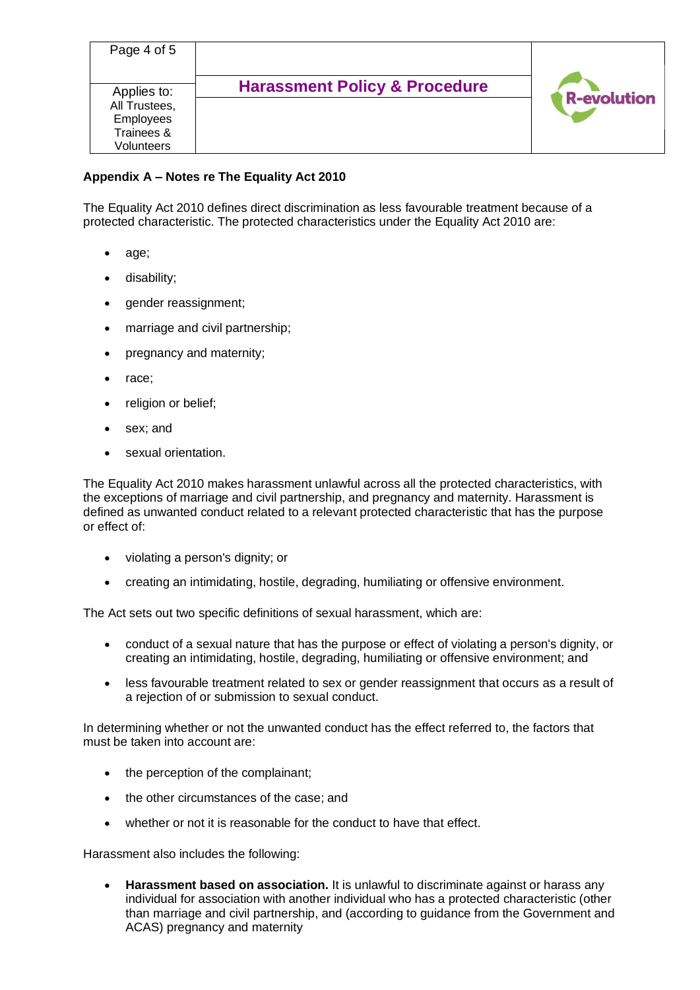| Page 4 of 5                                      |                                          |                    |
|--------------------------------------------------|------------------------------------------|--------------------|
| Applies to:<br>All Trustees,<br><b>Employees</b> | <b>Harassment Policy &amp; Procedure</b> | <b>R-evolution</b> |
| Trainees &<br>Volunteers                         |                                          |                    |

## **Appendix A – Notes re The Equality Act 2010**

The Equality Act 2010 defines direct discrimination as less favourable treatment because of a protected characteristic. The protected characteristics under the Equality Act 2010 are:

- age;
- disability;
- gender reassignment;
- marriage and civil partnership;
- pregnancy and maternity;
- race;
- religion or belief;
- sex; and
- sexual orientation.

The Equality Act 2010 makes harassment unlawful across all the protected characteristics, with the exceptions of marriage and civil partnership, and pregnancy and maternity. Harassment is defined as unwanted conduct related to a relevant protected characteristic that has the purpose or effect of:

- violating a person's dignity; or
- creating an intimidating, hostile, degrading, humiliating or offensive environment.

The Act sets out two specific definitions of sexual harassment, which are:

- conduct of a sexual nature that has the purpose or effect of violating a person's dignity, or creating an intimidating, hostile, degrading, humiliating or offensive environment; and
- less favourable treatment related to sex or gender reassignment that occurs as a result of a rejection of or submission to sexual conduct.

In determining whether or not the unwanted conduct has the effect referred to, the factors that must be taken into account are:

- the perception of the complainant;
- the other circumstances of the case; and
- whether or not it is reasonable for the conduct to have that effect.

Harassment also includes the following:

• **Harassment based on association.** It is unlawful to discriminate against or harass any individual for association with another individual who has a protected characteristic (other than marriage and civil partnership, and (according to guidance from the Government and ACAS) pregnancy and maternity